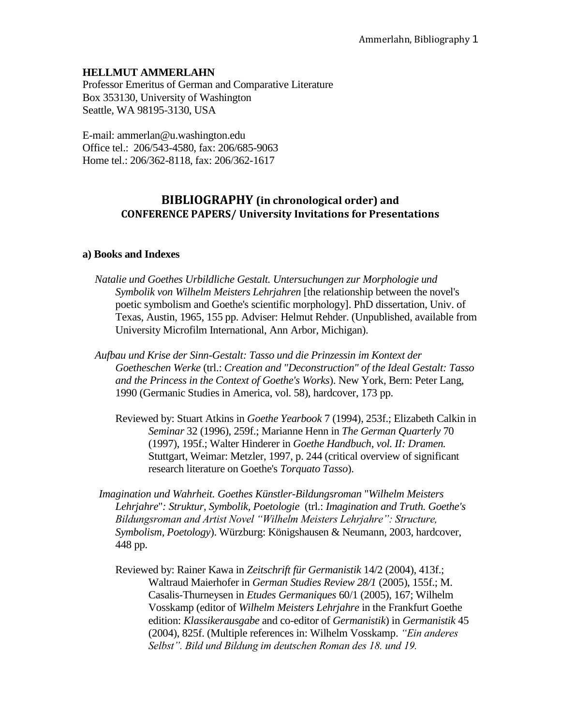### **HELLMUT AMMERLAHN**

Professor Emeritus of German and Comparative Literature Box 353130, University of Washington Seattle, WA 98195-3130, USA

E-mail: ammerlan@u.washington.edu Office tel.: 206/543-4580, fax: 206/685-9063 Home tel.: 206/362-8118, fax: 206/362-1617

# **BIBLIOGRAPHY (in chronological order) and CONFERENCE PAPERS/ University Invitations for Presentations**

### **a) Books and Indexes**

- *Natalie und Goethes Urbildliche Gestalt. Untersuchungen zur Morphologie und Symbolik von Wilhelm Meisters Lehrjahren* [the relationship between the novel's poetic symbolism and Goethe's scientific morphology]. PhD dissertation, Univ. of Texas, Austin, 1965, 155 pp. Adviser: Helmut Rehder. (Unpublished, available from University Microfilm International, Ann Arbor, Michigan).
- *Aufbau und Krise der Sinn-Gestalt: Tasso und die Prinzessin im Kontext der Goetheschen Werke* (trl.: *Creation and "Deconstruction" of the Ideal Gestalt: Tasso and the Princess in the Context of Goethe's Works*). New York, Bern: Peter Lang, 1990 (Germanic Studies in America, vol. 58), hardcover, 173 pp.
	- Reviewed by: Stuart Atkins in *Goethe Yearbook* 7 (1994), 253f.; Elizabeth Calkin in *Seminar* 32 (1996), 259f.; Marianne Henn in *The German Quarterly* 70 (1997), 195f.; Walter Hinderer in *Goethe Handbuch, vol. II: Dramen.*  Stuttgart, Weimar: Metzler, 1997, p. 244 (critical overview of significant research literature on Goethe's *Torquato Tasso*).
- *Imagination und Wahrheit. Goethes Künstler-Bildungsroman* "*Wilhelm Meisters Lehrjahre*"*: Struktur, Symbolik, Poetologie* (trl.: *Imagination and Truth. Goethe's Bildungsroman and Artist Novel "Wilhelm Meisters Lehrjahre": Structure, Symbolism, Poetology*). Würzburg: Königshausen & Neumann, 2003, hardcover, 448 pp.
	- Reviewed by: Rainer Kawa in *Zeitschrift für Germanistik* 14/2 (2004), 413f.; Waltraud Maierhofer in *German Studies Review 28/1* (2005), 155f.; M. Casalis-Thurneysen in *Etudes Germaniques* 60/1 (2005), 167; Wilhelm Vosskamp (editor of *Wilhelm Meisters Lehrjahre* in the Frankfurt Goethe edition: *Klassikerausgabe* and co-editor of *Germanistik*) in *Germanistik* 45 (2004), 825f. (Multiple references in: Wilhelm Vosskamp. *"Ein anderes Selbst". Bild und Bildung im deutschen Roman des 18. und 19.*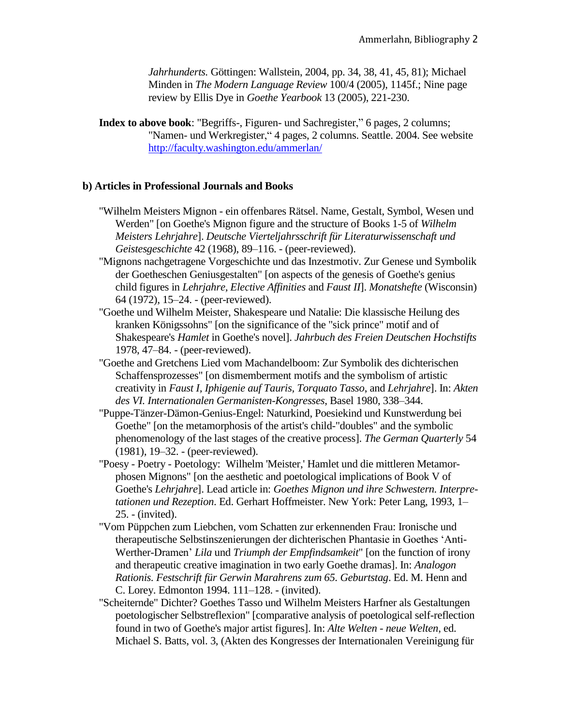*Jahrhunderts.* Göttingen: Wallstein, 2004, pp. 34, 38, 41, 45, 81); Michael Minden in *The Modern Language Review* 100/4 (2005), 1145f.; Nine page review by Ellis Dye in *Goethe Yearbook* 13 (2005), 221-230.

**Index to above book**: "Begriffs-, Figuren- und Sachregister," 6 pages, 2 columns; "Namen- und Werkregister," 4 pages, 2 columns. Seattle. 2004. See website <http://faculty.washington.edu/ammerlan/>

# **b) Articles in Professional Journals and Books**

- "Wilhelm Meisters Mignon ein offenbares Rätsel. Name, Gestalt, Symbol, Wesen und Werden" [on Goethe's Mignon figure and the structure of Books 1-5 of *Wilhelm Meisters Lehrjahre*]. *Deutsche Vierteljahrsschrift für Literaturwissenschaft und Geistesgeschichte* 42 (1968), 89–116. - (peer-reviewed).
- "Mignons nachgetragene Vorgeschichte und das Inzestmotiv. Zur Genese und Symbolik der Goetheschen Geniusgestalten" [on aspects of the genesis of Goethe's genius child figures in *Lehrjahre, Elective Affinities* and *Faust II*]. *Monatshefte* (Wisconsin) 64 (1972), 15–24. - (peer-reviewed).
- "Goethe und Wilhelm Meister, Shakespeare und Natalie: Die klassische Heilung des kranken Königssohns" [on the significance of the "sick prince" motif and of Shakespeare's *Hamlet* in Goethe's novel]. *Jahrbuch des Freien Deutschen Hochstifts* 1978, 47–84. - (peer-reviewed).
- "Goethe and Gretchens Lied vom Machandelboom: Zur Symbolik des dichterischen Schaffensprozesses" [on dismemberment motifs and the symbolism of artistic creativity in *Faust I, Iphigenie auf Tauris, Torquato Tasso*, and *Lehrjahre*]. In: *Akten des VI. Internationalen Germanisten-Kongresses*, Basel 1980, 338–344.
- "Puppe-Tänzer-Dämon-Genius-Engel: Naturkind, Poesiekind und Kunstwerdung bei Goethe" [on the metamorphosis of the artist's child-"doubles" and the symbolic phenomenology of the last stages of the creative process]. *The German Quarterly* 54 (1981), 19–32. - (peer-reviewed).
- "Poesy Poetry Poetology: Wilhelm 'Meister,' Hamlet und die mittleren Metamorphosen Mignons" [on the aesthetic and poetological implications of Book V of Goethe's *Lehrjahre*]. Lead article in: *Goethes Mignon und ihre Schwestern. Interpretationen und Rezeption*. Ed. Gerhart Hoffmeister. New York: Peter Lang, 1993, 1– 25. - (invited).
- "Vom Püppchen zum Liebchen, vom Schatten zur erkennenden Frau: Ironische und therapeutische Selbstinszenierungen der dichterischen Phantasie in Goethes 'Anti-Werther-Dramen' *Lila* und *Triumph der Empfindsamkeit*" [on the function of irony and therapeutic creative imagination in two early Goethe dramas]. In: *Analogon Rationis. Festschrift für Gerwin Marahrens zum 65. Geburtstag*. Ed. M. Henn and C. Lorey. Edmonton 1994. 111–128. - (invited).
- "Scheiternde" Dichter? Goethes Tasso und Wilhelm Meisters Harfner als Gestaltungen poetologischer Selbstreflexion" [comparative analysis of poetological self-reflection found in two of Goethe's major artist figures]. In: *Alte Welten - neue Welten*, ed. Michael S. Batts, vol. 3, (Akten des Kongresses der Internationalen Vereinigung für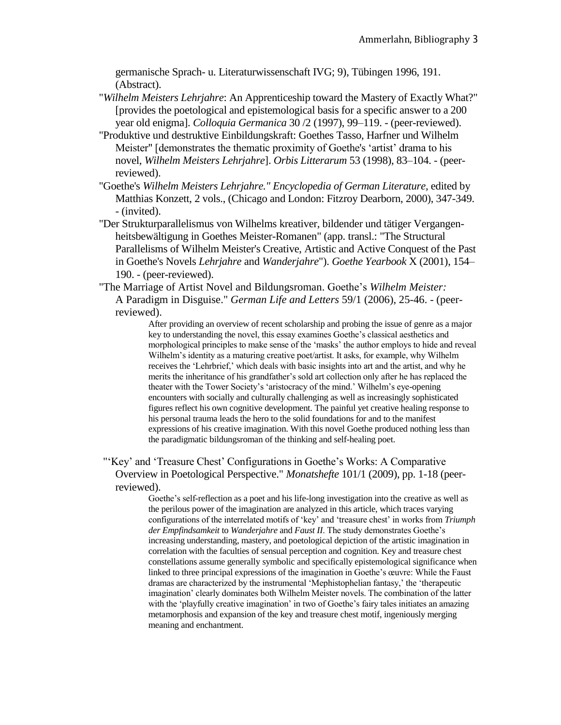germanische Sprach- u. Literaturwissenschaft IVG; 9), Tübingen 1996, 191. (Abstract).

- "*Wilhelm Meisters Lehrjahre*: An Apprenticeship toward the Mastery of Exactly What?" [provides the poetological and epistemological basis for a specific answer to a 200 year old enigma]. *Colloquia Germanica* 30 /2 (1997), 99–119. - (peer-reviewed).
- "Produktive und destruktive Einbildungskraft: Goethes Tasso, Harfner und Wilhelm Meister" [demonstrates the thematic proximity of Goethe's 'artist' drama to his novel, *Wilhelm Meisters Lehrjahre*]. *Orbis Litterarum* 53 (1998), 83–104. - (peerreviewed).
- "Goethe's *Wilhelm Meisters Lehrjahre." Encyclopedia of German Literature,* edited by Matthias Konzett, 2 vols., (Chicago and London: Fitzroy Dearborn, 2000), 347-349. - (invited).
- "Der Strukturparallelismus von Wilhelms kreativer, bildender und tätiger Vergangenheitsbewältigung in Goethes Meister-Romanen" (app. transl.: "The Structural Parallelisms of Wilhelm Meister's Creative, Artistic and Active Conquest of the Past in Goethe's Novels *Lehrjahre* and *Wanderjahre*"). *Goethe Yearbook* X (2001), 154– 190. - (peer-reviewed).
- "The Marriage of Artist Novel and Bildungsroman. Goethe's *Wilhelm Meister:* A Paradigm in Disguise." *German Life and Letters* 59/1 (2006), 25-46. - (peerreviewed).

After providing an overview of recent scholarship and probing the issue of genre as a major key to understanding the novel, this essay examines Goethe's classical aesthetics and morphological principles to make sense of the 'masks' the author employs to hide and reveal Wilhelm's identity as a maturing creative poet/artist. It asks, for example, why Wilhelm receives the 'Lehrbrief,' which deals with basic insights into art and the artist, and why he merits the inheritance of his grandfather's sold art collection only after he has replaced the theater with the Tower Society's 'aristocracy of the mind.' Wilhelm's eye-opening encounters with socially and culturally challenging as well as increasingly sophisticated figures reflect his own cognitive development. The painful yet creative healing response to his personal trauma leads the hero to the solid foundations for and to the manifest expressions of his creative imagination. With this novel Goethe produced nothing less than the paradigmatic bildungsroman of the thinking and self-healing poet.

"'Key' and 'Treasure Chest' Configurations in Goethe's Works: A Comparative Overview in Poetological Perspective." *Monatshefte* 101/1 (2009), pp. 1-18 (peerreviewed).

> Goethe's self-reflection as a poet and his life-long investigation into the creative as well as the perilous power of the imagination are analyzed in this article, which traces varying configurations of the interrelated motifs of 'key' and 'treasure chest' in works from *Triumph der Empfindsamkeit* to *Wanderjahre* and *Faust II*. The study demonstrates Goethe's increasing understanding, mastery, and poetological depiction of the artistic imagination in correlation with the faculties of sensual perception and cognition. Key and treasure chest constellations assume generally symbolic and specifically epistemological significance when linked to three principal expressions of the imagination in Goethe's œuvre: While the Faust dramas are characterized by the instrumental 'Mephistophelian fantasy,' the 'therapeutic imagination' clearly dominates both Wilhelm Meister novels. The combination of the latter with the 'playfully creative imagination' in two of Goethe's fairy tales initiates an amazing metamorphosis and expansion of the key and treasure chest motif, ingeniously merging meaning and enchantment.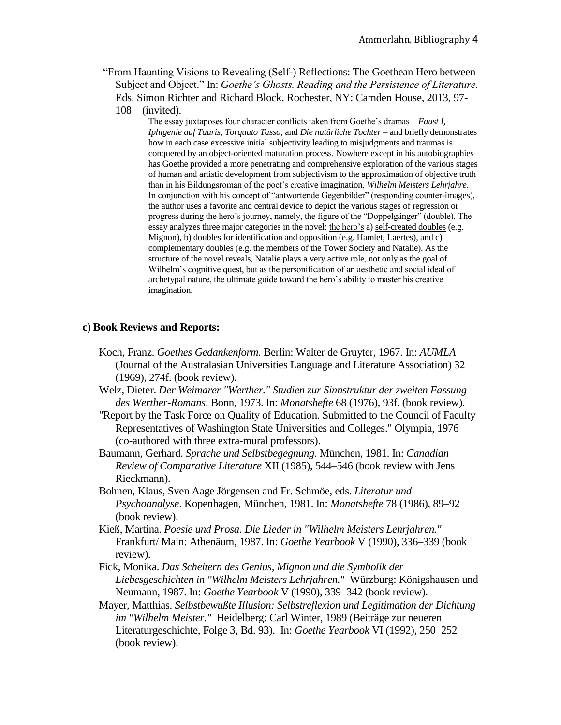"From Haunting Visions to Revealing (Self-) Reflections: The Goethean Hero between Subject and Object." In: *Goethe's Ghosts. Reading and the Persistence of Literature.*  Eds. Simon Richter and Richard Block. Rochester, NY: Camden House, 2013, 97-  $108 -$ (invited).

> The essay juxtaposes four character conflicts taken from Goethe's dramas – *Faust I, Iphigenie auf Tauris, Torquato Tasso,* and *Die natürliche Tochter* – and briefly demonstrates how in each case excessive initial subjectivity leading to misjudgments and traumas is conquered by an object-oriented maturation process. Nowhere except in his autobiographies has Goethe provided a more penetrating and comprehensive exploration of the various stages of human and artistic development from subjectivism to the approximation of objective truth than in his Bildungsroman of the poet's creative imagination, *Wilhelm Meisters Lehrjahre*. In conjunction with his concept of "antwortende Gegenbilder" (responding counter-images), the author uses a favorite and central device to depict the various stages of regression or progress during the hero's journey, namely, the figure of the "Doppelgänger" (double). The essay analyzes three major categories in the novel: the hero's a) self-created doubles (e.g. Mignon), b) doubles for identification and opposition (e.g. Hamlet, Laertes), and c) complementary doubles (e.g. the members of the Tower Society and Natalie). As the structure of the novel reveals, Natalie plays a very active role, not only as the goal of Wilhelm's cognitive quest, but as the personification of an aesthetic and social ideal of archetypal nature, the ultimate guide toward the hero's ability to master his creative imagination.

#### **c) Book Reviews and Reports:**

- Koch, Franz. *Goethes Gedankenform.* Berlin: Walter de Gruyter, 1967. In: *AUMLA*  (Journal of the Australasian Universities Language and Literature Association) 32 (1969), 274f. (book review).
- Welz, Dieter. *Der Weimarer "Werther." Studien zur Sinnstruktur der zweiten Fassung des Werther-Romans*. Bonn, 1973. In: *Monatshefte* 68 (1976), 93f. (book review).
- "Report by the Task Force on Quality of Education. Submitted to the Council of Faculty Representatives of Washington State Universities and Colleges." Olympia, 1976 (co-authored with three extra-mural professors).
- Baumann, Gerhard. *Sprache und Selbstbegegnung.* München, 1981. In: *Canadian Review of Comparative Literature* XII (1985), 544–546 (book review with Jens Rieckmann).
- Bohnen, Klaus, Sven Aage Jörgensen and Fr. Schmöe, eds. *Literatur und Psychoanalyse*. Kopenhagen, München, 1981. In: *Monatshefte* 78 (1986), 89–92 (book review).
- Kieß, Martina. *Poesie und Prosa. Die Lieder in "Wilhelm Meisters Lehrjahren."* Frankfurt/ Main: Athenäum, 1987. In: *Goethe Yearbook* V (1990), 336–339 (book review).
- Fick, Monika. *Das Scheitern des Genius, Mignon und die Symbolik der Liebesgeschichten in "Wilhelm Meisters Lehrjahren."* Würzburg: Königshausen und Neumann, 1987. In: *Goethe Yearbook* V (1990), 339–342 (book review).
- Mayer, Matthias. *Selbstbewußte Illusion: Selbstreflexion und Legitimation der Dichtung im "Wilhelm Meister."* Heidelberg: Carl Winter, 1989 (Beiträge zur neueren Literaturgeschichte, Folge 3, Bd. 93). In: *Goethe Yearbook* VI (1992), 250–252 (book review).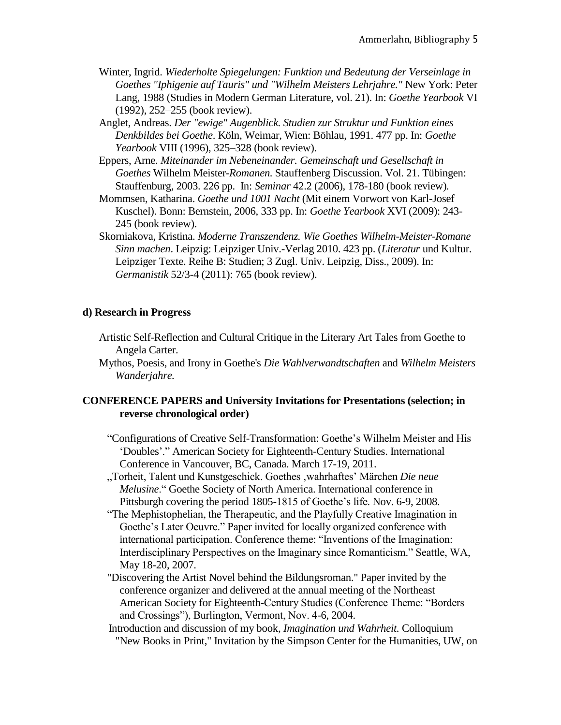- Winter, Ingrid. *Wiederholte Spiegelungen: Funktion und Bedeutung der Verseinlage in Goethes "Iphigenie auf Tauris" und "Wilhelm Meisters Lehrjahre."* New York: Peter Lang, 1988 (Studies in Modern German Literature, vol. 21). In: *Goethe Yearbook* VI (1992), 252–255 (book review).
- Anglet, Andreas. *Der "ewige" Augenblick. Studien zur Struktur und Funktion eines Denkbildes bei Goethe*. Köln, Weimar, Wien: Böhlau, 1991. 477 pp. In: *Goethe Yearbook* VIII (1996), 325–328 (book review).
- Eppers, Arne. *Miteinander im Nebeneinander. Gemeinschaft und Gesellschaft in Goethes* Wilhelm Meister-*Romanen.* Stauffenberg Discussion. Vol. 21. Tübingen: Stauffenburg, 2003. 226 pp. In: *Seminar* 42.2 (2006), 178-180 (book review)*.*
- Mommsen, Katharina. *Goethe und 1001 Nacht* (Mit einem Vorwort von Karl-Josef Kuschel). Bonn: Bernstein, 2006, 333 pp. In: *Goethe Yearbook* XVI (2009): 243- 245 (book review).
- Skorniakova, Kristina. *Moderne Transzendenz. Wie Goethes Wilhelm-Meister-Romane Sinn machen*. Leipzig: Leipziger Univ.-Verlag 2010. 423 pp. (*Literatur* und Kultur. Leipziger Texte. Reihe B: Studien; 3 Zugl. Univ. Leipzig, Diss., 2009). In: *Germanistik* 52/3-4 (2011): 765 (book review).

## **d) Research in Progress**

- Artistic Self-Reflection and Cultural Critique in the Literary Art Tales from Goethe to Angela Carter.
- Mythos, Poesis, and Irony in Goethe's *Die Wahlverwandtschaften* and *Wilhelm Meisters Wanderjahre.*

## **CONFERENCE PAPERS and University Invitations for Presentations (selection; in reverse chronological order)**

- "Configurations of Creative Self-Transformation: Goethe's Wilhelm Meister and His 'Doubles'." American Society for Eighteenth-Century Studies. International Conference in Vancouver, BC, Canada. March 17-19, 2011.
- "Torheit, Talent und Kunstgeschick. Goethes 'wahrhaftes' Märchen *Die neue Melusine*." Goethe Society of North America. International conference in Pittsburgh covering the period 1805-1815 of Goethe's life. Nov. 6-9, 2008.
- "The Mephistophelian, the Therapeutic, and the Playfully Creative Imagination in Goethe's Later Oeuvre." Paper invited for locally organized conference with international participation. Conference theme: "Inventions of the Imagination: Interdisciplinary Perspectives on the Imaginary since Romanticism." Seattle, WA, May 18-20, 2007.
- "Discovering the Artist Novel behind the Bildungsroman." Paper invited by the conference organizer and delivered at the annual meeting of the Northeast American Society for Eighteenth-Century Studies (Conference Theme: "Borders and Crossings"), Burlington, Vermont, Nov. 4-6, 2004.
- Introduction and discussion of my book, *Imagination und Wahrheit.* Colloquium "New Books in Print," Invitation by the Simpson Center for the Humanities, UW, on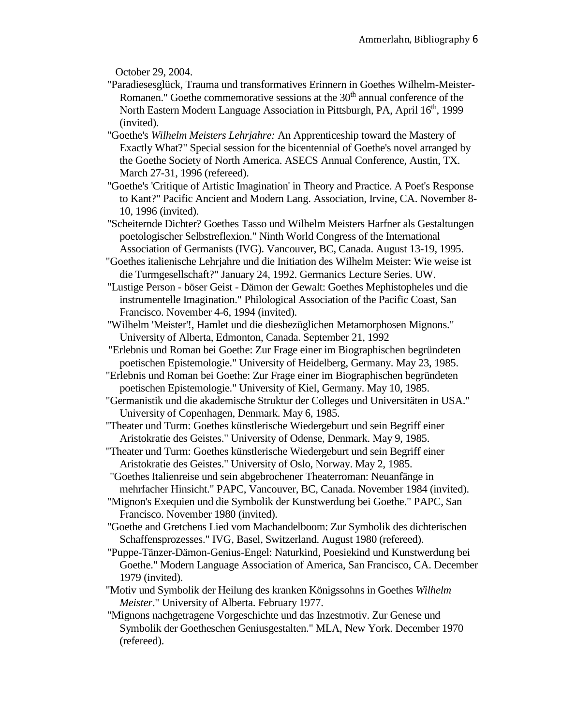October 29, 2004.

- "Paradiesesglück, Trauma und transformatives Erinnern in Goethes Wilhelm-Meister-Romanen." Goethe commemorative sessions at the  $30<sup>th</sup>$  annual conference of the North Eastern Modern Language Association in Pittsburgh, PA, April 16<sup>th</sup>, 1999 (invited).
- "Goethe's *Wilhelm Meisters Lehrjahre:* An Apprenticeship toward the Mastery of Exactly What?" Special session for the bicentennial of Goethe's novel arranged by the Goethe Society of North America. ASECS Annual Conference, Austin, TX. March 27-31, 1996 (refereed).
- "Goethe's 'Critique of Artistic Imagination' in Theory and Practice. A Poet's Response to Kant?" Pacific Ancient and Modern Lang. Association, Irvine, CA. November 8- 10, 1996 (invited).
- "Scheiternde Dichter? Goethes Tasso und Wilhelm Meisters Harfner als Gestaltungen poetologischer Selbstreflexion." Ninth World Congress of the International Association of Germanists (IVG). Vancouver, BC, Canada. August 13-19, 1995.
- "Goethes italienische Lehrjahre und die Initiation des Wilhelm Meister: Wie weise ist die Turmgesellschaft?" January 24, 1992. Germanics Lecture Series. UW.
- "Lustige Person böser Geist Dämon der Gewalt: Goethes Mephistopheles und die instrumentelle Imagination." Philological Association of the Pacific Coast, San Francisco. November 4-6, 1994 (invited).
- "Wilhelm 'Meister'!, Hamlet und die diesbezüglichen Metamorphosen Mignons." University of Alberta, Edmonton, Canada. September 21, 1992
- "Erlebnis und Roman bei Goethe: Zur Frage einer im Biographischen begründeten poetischen Epistemologie." University of Heidelberg, Germany. May 23, 1985.
- "Erlebnis und Roman bei Goethe: Zur Frage einer im Biographischen begründeten poetischen Epistemologie." University of Kiel, Germany. May 10, 1985.
- "Germanistik und die akademische Struktur der Colleges und Universitäten in USA." University of Copenhagen, Denmark. May 6, 1985.
- "Theater und Turm: Goethes künstlerische Wiedergeburt und sein Begriff einer Aristokratie des Geistes." University of Odense, Denmark. May 9, 1985.
- "Theater und Turm: Goethes künstlerische Wiedergeburt und sein Begriff einer Aristokratie des Geistes." University of Oslo, Norway. May 2, 1985.
- "Goethes Italienreise und sein abgebrochener Theaterroman: Neuanfänge in mehrfacher Hinsicht." PAPC, Vancouver, BC, Canada. November 1984 (invited).
- "Mignon's Exequien und die Symbolik der Kunstwerdung bei Goethe." PAPC, San Francisco. November 1980 (invited).
- "Goethe and Gretchens Lied vom Machandelboom: Zur Symbolik des dichterischen Schaffensprozesses." IVG, Basel, Switzerland. August 1980 (refereed).
- "Puppe-Tänzer-Dämon-Genius-Engel: Naturkind, Poesiekind und Kunstwerdung bei Goethe." Modern Language Association of America, San Francisco, CA. December 1979 (invited).
- "Motiv und Symbolik der Heilung des kranken Königssohns in Goethes *Wilhelm Meister*." University of Alberta. February 1977.
- "Mignons nachgetragene Vorgeschichte und das Inzestmotiv. Zur Genese und Symbolik der Goetheschen Geniusgestalten." MLA, New York. December 1970 (refereed).